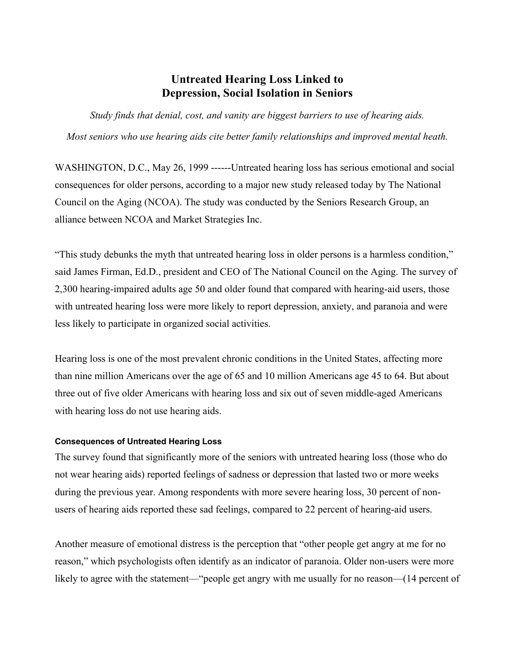## **Untreated Hearing Loss Linked to Depression, Social Isolation in Seniors**

*Study finds that denial, cost, and vanity are biggest barriers to use of hearing aids. Most seniors who use hearing aids cite better family relationships and improved mental heath.*

WASHINGTON, D.C., May 26, 1999 ------Untreated hearing loss has serious emotional and social consequences for older persons, according to a major new study released today by The National Council on the Aging (NCOA). The study was conducted by the Seniors Research Group, an alliance between NCOA and Market Strategies Inc.

"This study debunks the myth that untreated hearing loss in older persons is a harmless condition," said James Firman, Ed.D., president and CEO of The National Council on the Aging. The survey of 2,300 hearing-impaired adults age 50 and older found that compared with hearing-aid users, those with untreated hearing loss were more likely to report depression, anxiety, and paranoia and were less likely to participate in organized social activities.

Hearing loss is one of the most prevalent chronic conditions in the United States, affecting more than nine million Americans over the age of 65 and 10 million Americans age 45 to 64. But about three out of five older Americans with hearing loss and six out of seven middle-aged Americans with hearing loss do not use hearing aids.

## **Consequences of Untreated Hearing Loss**

The survey found that significantly more of the seniors with untreated hearing loss (those who do not wear hearing aids) reported feelings of sadness or depression that lasted two or more weeks during the previous year. Among respondents with more severe hearing loss, 30 percent of nonusers of hearing aids reported these sad feelings, compared to 22 percent of hearing-aid users.

Another measure of emotional distress is the perception that "other people get angry at me for no reason," which psychologists often identify as an indicator of paranoia. Older non-users were more likely to agree with the statement—"people get angry with me usually for no reason—(14 percent of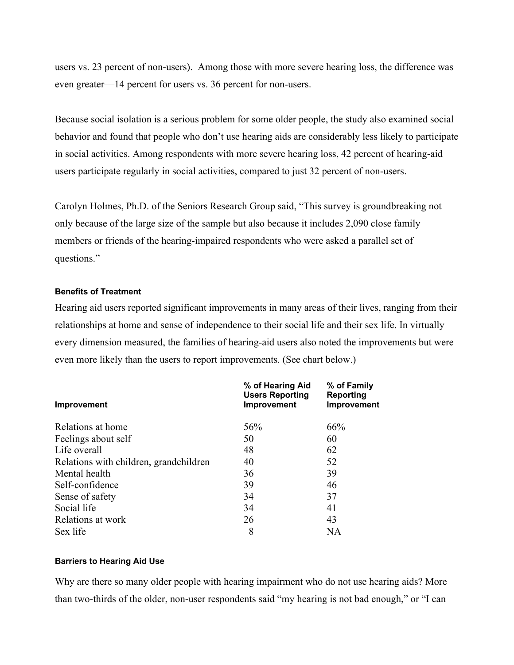users vs. 23 percent of non-users). Among those with more severe hearing loss, the difference was even greater—14 percent for users vs. 36 percent for non-users.

Because social isolation is a serious problem for some older people, the study also examined social behavior and found that people who don't use hearing aids are considerably less likely to participate in social activities. Among respondents with more severe hearing loss, 42 percent of hearing-aid users participate regularly in social activities, compared to just 32 percent of non-users.

Carolyn Holmes, Ph.D. of the Seniors Research Group said, "This survey is groundbreaking not only because of the large size of the sample but also because it includes 2,090 close family members or friends of the hearing-impaired respondents who were asked a parallel set of questions."

## **Benefits of Treatment**

Hearing aid users reported significant improvements in many areas of their lives, ranging from their relationships at home and sense of independence to their social life and their sex life. In virtually every dimension measured, the families of hearing-aid users also noted the improvements but were even more likely than the users to report improvements. (See chart below.)

| Improvement                            | % of Hearing Aid<br><b>Users Reporting</b><br>Improvement | % of Family<br>Reporting<br>Improvement |
|----------------------------------------|-----------------------------------------------------------|-----------------------------------------|
|                                        |                                                           |                                         |
| Feelings about self                    | 50                                                        | 60                                      |
| Life overall                           | 48                                                        | 62                                      |
| Relations with children, grandchildren | 40                                                        | 52                                      |
| Mental health                          | 36                                                        | 39                                      |
| Self-confidence                        | 39                                                        | 46                                      |
| Sense of safety                        | 34                                                        | 37                                      |
| Social life                            | 34                                                        | 41                                      |
| Relations at work                      | 26                                                        | 43                                      |
| Sex life                               | 8                                                         | NA                                      |

## **Barriers to Hearing Aid Use**

Why are there so many older people with hearing impairment who do not use hearing aids? More than two-thirds of the older, non-user respondents said "my hearing is not bad enough," or "I can